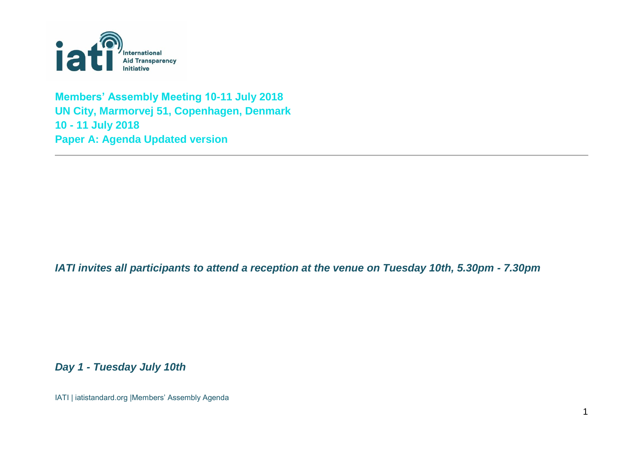

**Members' Assembly Meeting 10-11 July 2018 UN City, Marmorvej 51, Copenhagen, Denmark 10 - 11 July 2018 Paper A: Agenda Updated version**

## *IATI invites all participants to attend a reception at the venue on Tuesday 10th, 5.30pm - 7.30pm*

*Day 1 - Tuesday July 10th*

IATI | iatistandard.org |Members' Assembly Agenda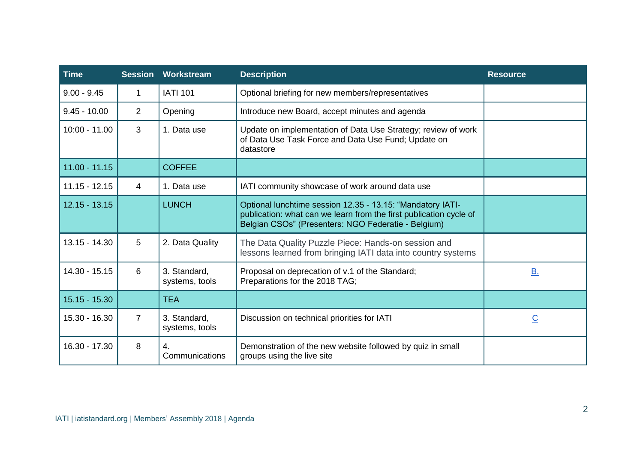| <b>Time</b>     | <b>Session</b> | Workstream                     | <b>Description</b>                                                                                                                                                                      | <b>Resource</b> |
|-----------------|----------------|--------------------------------|-----------------------------------------------------------------------------------------------------------------------------------------------------------------------------------------|-----------------|
| $9.00 - 9.45$   | 1              | <b>IATI 101</b>                | Optional briefing for new members/representatives                                                                                                                                       |                 |
| $9.45 - 10.00$  | $\overline{2}$ | Opening                        | Introduce new Board, accept minutes and agenda                                                                                                                                          |                 |
| $10:00 - 11.00$ | 3              | 1. Data use                    | Update on implementation of Data Use Strategy; review of work<br>of Data Use Task Force and Data Use Fund; Update on<br>datastore                                                       |                 |
| $11.00 - 11.15$ |                | <b>COFFEE</b>                  |                                                                                                                                                                                         |                 |
| $11.15 - 12.15$ | $\overline{4}$ | 1. Data use                    | IATI community showcase of work around data use                                                                                                                                         |                 |
| $12.15 - 13.15$ |                | <b>LUNCH</b>                   | Optional lunchtime session 12.35 - 13.15: "Mandatory IATI-<br>publication: what can we learn from the first publication cycle of<br>Belgian CSOs" (Presenters: NGO Federatie - Belgium) |                 |
| $13.15 - 14.30$ | 5              | 2. Data Quality                | The Data Quality Puzzle Piece: Hands-on session and<br>lessons learned from bringing IATI data into country systems                                                                     |                 |
| $14.30 - 15.15$ | 6              | 3. Standard,<br>systems, tools | Proposal on deprecation of v.1 of the Standard;<br>Preparations for the 2018 TAG;                                                                                                       | <u>B.</u>       |
| $15.15 - 15.30$ |                | <b>TEA</b>                     |                                                                                                                                                                                         |                 |
| 15.30 - 16.30   | $\overline{7}$ | 3. Standard,<br>systems, tools | Discussion on technical priorities for IATI                                                                                                                                             | $\overline{C}$  |
| 16.30 - 17.30   | 8              | 4.<br>Communications           | Demonstration of the new website followed by quiz in small<br>groups using the live site                                                                                                |                 |